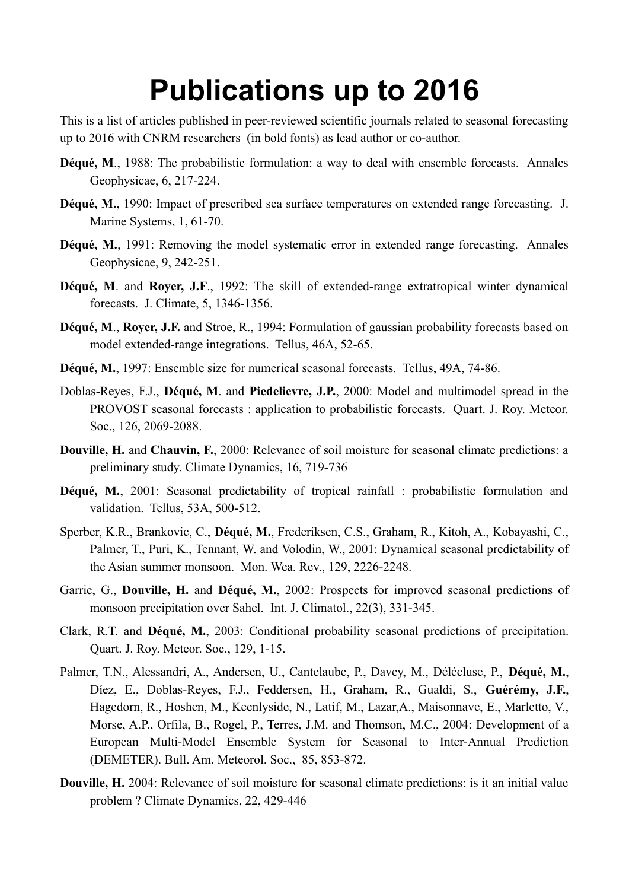## **Publications up to 2016**

This is a list of articles published in peer-reviewed scientific journals related to seasonal forecasting up to 2016 with CNRM researchers (in bold fonts) as lead author or co-author.

- **Déqué, M.**, 1988: The probabilistic formulation: a way to deal with ensemble forecasts. Annales Geophysicae, 6, 217-224.
- **Déqué, M.**, 1990: Impact of prescribed sea surface temperatures on extended range forecasting. J. Marine Systems, 1, 61-70.
- Déqué, M., 1991: Removing the model systematic error in extended range forecasting. Annales Geophysicae, 9, 242-251.
- **Déqué, M**. and **Royer, J.F**., 1992: The skill of extended-range extratropical winter dynamical forecasts. J. Climate, 5, 1346-1356.
- **Déqué, M**., **Royer, J.F.** and Stroe, R., 1994: Formulation of gaussian probability forecasts based on model extended-range integrations. Tellus, 46A, 52-65.
- **Déqué, M.**, 1997: Ensemble size for numerical seasonal forecasts. Tellus, 49A, 74-86.
- Doblas-Reyes, F.J., **Déqué, M**. and **Piedelievre, J.P.**, 2000: Model and multimodel spread in the PROVOST seasonal forecasts : application to probabilistic forecasts. Quart. J. Roy. Meteor. Soc., 126, 2069-2088.
- **Douville, H. and Chauvin, F.**, 2000: Relevance of soil moisture for seasonal climate predictions: a preliminary study. Climate Dynamics, 16, 719-736
- **Déqué, M.**, 2001: Seasonal predictability of tropical rainfall : probabilistic formulation and validation. Tellus, 53A, 500-512.
- Sperber, K.R., Brankovic, C., **Déqué, M.**, Frederiksen, C.S., Graham, R., Kitoh, A., Kobayashi, C., Palmer, T., Puri, K., Tennant, W. and Volodin, W., 2001: Dynamical seasonal predictability of the Asian summer monsoon. Mon. Wea. Rev., 129, 2226-2248.
- Garric, G., **Douville, H.** and **Déqué, M.**, 2002: Prospects for improved seasonal predictions of monsoon precipitation over Sahel. Int. J. Climatol., 22(3), 331-345.
- Clark, R.T. and **Déqué, M.**, 2003: Conditional probability seasonal predictions of precipitation. Quart. J. Roy. Meteor. Soc., 129, 1-15.
- Palmer, T.N., Alessandri, A., Andersen, U., Cantelaube, P., Davey, M., Délécluse, P., **Déqué, M.**, Díez, E., Doblas-Reyes, F.J., Feddersen, H., Graham, R., Gualdi, S., **Guérémy, J.F.**, Hagedorn, R., Hoshen, M., Keenlyside, N., Latif, M., Lazar,A., Maisonnave, E., Marletto, V., Morse, A.P., Orfila, B., Rogel, P., Terres, J.M. and Thomson, M.C., 2004: Development of a European Multi-Model Ensemble System for Seasonal to Inter-Annual Prediction (DEMETER). Bull. Am. Meteorol. Soc., 85, 853-872.
- **Douville, H.** 2004: Relevance of soil moisture for seasonal climate predictions: is it an initial value problem ? Climate Dynamics, 22, 429-446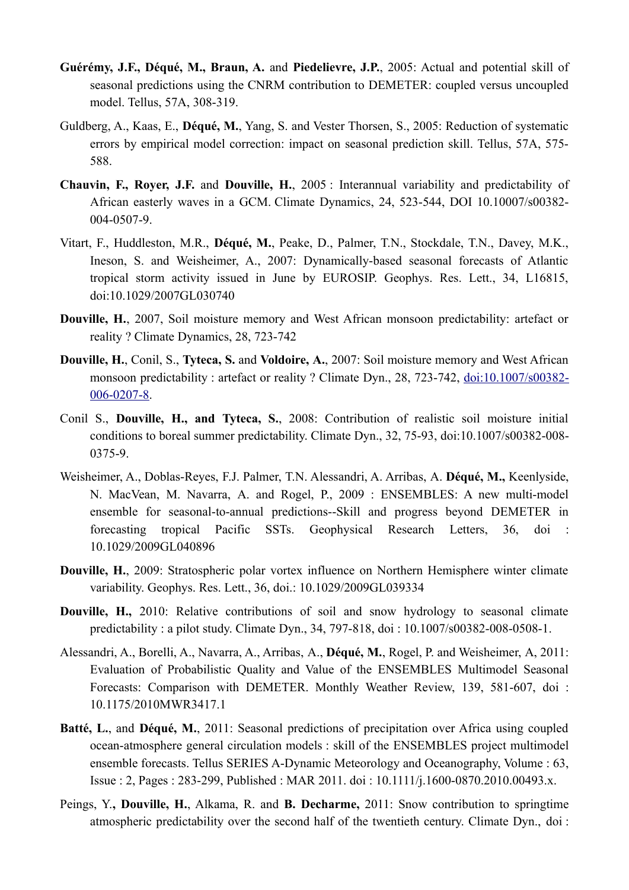- **Guérémy, J.F., Déqué, M., Braun, A.** and **Piedelievre, J.P.**, 2005: Actual and potential skill of seasonal predictions using the CNRM contribution to DEMETER: coupled versus uncoupled model. Tellus, 57A, 308-319.
- Guldberg, A., Kaas, E., **Déqué, M.**, Yang, S. and Vester Thorsen, S., 2005: Reduction of systematic errors by empirical model correction: impact on seasonal prediction skill. Tellus, 57A, 575- 588.
- **Chauvin, F., Royer, J.F.** and **Douville, H.**, 2005 : Interannual variability and predictability of African easterly waves in a GCM. Climate Dynamics, 24, 523-544, DOI 10.10007/s00382- 004-0507-9.
- Vitart, F., Huddleston, M.R., **Déqué, M.**, Peake, D., Palmer, T.N., Stockdale, T.N., Davey, M.K., Ineson, S. and Weisheimer, A., 2007: Dynamically-based seasonal forecasts of Atlantic tropical storm activity issued in June by EUROSIP. Geophys. Res. Lett., 34, L16815, doi:10.1029/2007GL030740
- **Douville, H.**, 2007, Soil moisture memory and West African monsoon predictability: artefact or reality ? Climate Dynamics, 28, 723-742
- **Douville, H.**, Conil, S., **Tyteca, S.** and **Voldoire, A.**, 2007: Soil moisture memory and West African monsoon predictability : artefact or reality ? Climate Dyn., 28, 723-742, [doi:10.1007/s00382-](https://www.umr-cnrm.fr/IMG/pdf/douville_cd07_amma.pdf) [006-0207-8](https://www.umr-cnrm.fr/IMG/pdf/douville_cd07_amma.pdf).
- Conil S., **Douville, H., and Tyteca, S.**, 2008: Contribution of realistic soil moisture initial conditions to boreal summer predictability. Climate Dyn., 32, 75-93, doi:10.1007/s00382-008- 0375-9.
- Weisheimer, A., Doblas-Reyes, F.J. Palmer, T.N. Alessandri, A. Arribas, A. **Déqué, M.,** Keenlyside, N. MacVean, M. Navarra, A. and Rogel, P., 2009 : ENSEMBLES: A new multi-model ensemble for seasonal-to-annual predictions--Skill and progress beyond DEMETER in forecasting tropical Pacific SSTs. Geophysical Research Letters, 36, doi : 10.1029/2009GL040896
- **Douville, H.**, 2009: Stratospheric polar vortex influence on Northern Hemisphere winter climate variability. Geophys. Res. Lett., 36, doi.: 10.1029/2009GL039334
- **Douville, H.,** 2010: Relative contributions of soil and snow hydrology to seasonal climate predictability : a pilot study. Climate Dyn., 34, 797-818, doi : 10.1007/s00382-008-0508-1.
- Alessandri, A., Borelli, A., Navarra, A., Arribas, A., **Déqué, M.**, Rogel, P. and Weisheimer, A, 2011: Evaluation of Probabilistic Quality and Value of the ENSEMBLES Multimodel Seasonal Forecasts: Comparison with DEMETER. Monthly Weather Review, 139, 581-607, doi : 10.1175/2010MWR3417.1
- **Batté, L.**, and **Déqué, M.**, 2011: Seasonal predictions of precipitation over Africa using coupled ocean-atmosphere general circulation models : skill of the ENSEMBLES project multimodel ensemble forecasts. Tellus SERIES A-Dynamic Meteorology and Oceanography, Volume : 63, Issue : 2, Pages : 283-299, Published : MAR 2011. doi : 10.1111/j.1600-0870.2010.00493.x.
- Peings, Y.**, Douville, H.**, Alkama, R. and **B. Decharme,** 2011: Snow contribution to springtime atmospheric predictability over the second half of the twentieth century. Climate Dyn., doi :